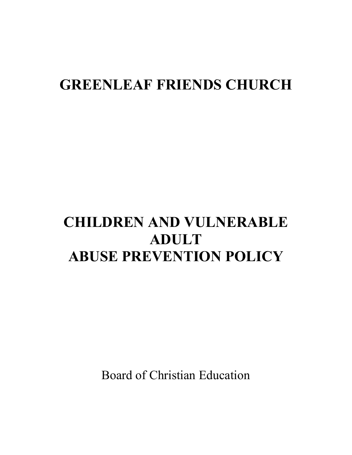# **GREENLEAF FRIENDS CHURCH**

# **CHILDREN AND VULNERABLE ADULT ABUSE PREVENTION POLICY**

Board of Christian Education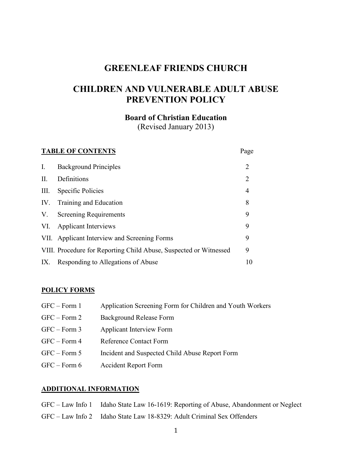# **GREENLEAF FRIENDS CHURCH**

# **CHILDREN AND VULNERABLE ADULT ABUSE PREVENTION POLICY**

# **Board of Christian Education**

(Revised January 2013)

| <b>TABLE OF CONTENTS</b> |                                                                   |                |
|--------------------------|-------------------------------------------------------------------|----------------|
| I.                       | <b>Background Principles</b>                                      | $\overline{2}$ |
| П.                       | Definitions                                                       | $\overline{2}$ |
| Ш.                       | Specific Policies                                                 | $\overline{4}$ |
| IV.                      | Training and Education                                            | 8              |
| V.                       | <b>Screening Requirements</b>                                     | 9              |
| VI.                      | <b>Applicant Interviews</b>                                       | 9              |
|                          | VII. Applicant Interview and Screening Forms                      | 9              |
|                          | VIII. Procedure for Reporting Child Abuse, Suspected or Witnessed | 9              |
| IX.                      | Responding to Allegations of Abuse                                | 10             |

#### **POLICY FORMS**

| $GFC - Form 1$ | Application Screening Form for Children and Youth Workers |
|----------------|-----------------------------------------------------------|
| $GFC - Form 2$ | <b>Background Release Form</b>                            |
| $GFC - Form 3$ | Applicant Interview Form                                  |
| $GFC - Form 4$ | <b>Reference Contact Form</b>                             |
| $GFC - Form 5$ | Incident and Suspected Child Abuse Report Form            |
| $GFC - Form 6$ | <b>Accident Report Form</b>                               |

# **ADDITIONAL INFORMATION**

| GFC – Law Info 1 Idaho State Law 16-1619: Reporting of Abuse, Abandonment or Neglect |
|--------------------------------------------------------------------------------------|
| GFC – Law Info 2 Idaho State Law 18-8329: Adult Criminal Sex Offenders               |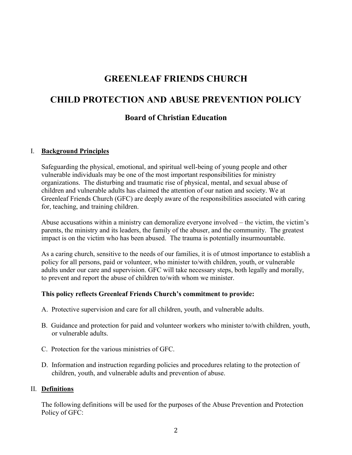# **GREENLEAF FRIENDS CHURCH**

# **CHILD PROTECTION AND ABUSE PREVENTION POLICY**

# **Board of Christian Education**

#### I. **Background Principles**

Safeguarding the physical, emotional, and spiritual well-being of young people and other vulnerable individuals may be one of the most important responsibilities for ministry organizations. The disturbing and traumatic rise of physical, mental, and sexual abuse of children and vulnerable adults has claimed the attention of our nation and society. We at Greenleaf Friends Church (GFC) are deeply aware of the responsibilities associated with caring for, teaching, and training children.

Abuse accusations within a ministry can demoralize everyone involved – the victim, the victim's parents, the ministry and its leaders, the family of the abuser, and the community. The greatest impact is on the victim who has been abused. The trauma is potentially insurmountable.

As a caring church, sensitive to the needs of our families, it is of utmost importance to establish a policy for all persons, paid or volunteer, who minister to/with children, youth, or vulnerable adults under our care and supervision. GFC will take necessary steps, both legally and morally, to prevent and report the abuse of children to/with whom we minister.

#### **This policy reflects Greenleaf Friends Church's commitment to provide:**

- A. Protective supervision and care for all children, youth, and vulnerable adults.
- B. Guidance and protection for paid and volunteer workers who minister to/with children, youth, or vulnerable adults.
- C. Protection for the various ministries of GFC.
- D. Information and instruction regarding policies and procedures relating to the protection of children, youth, and vulnerable adults and prevention of abuse.

#### II. **Definitions**

The following definitions will be used for the purposes of the Abuse Prevention and Protection Policy of GFC: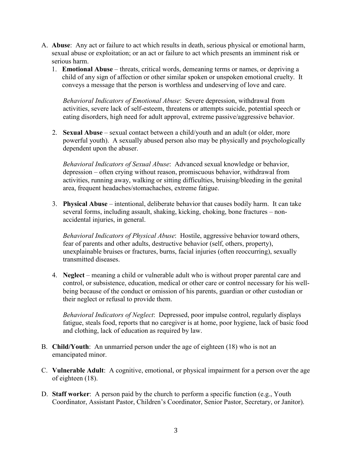- A. **Abuse**: Any act or failure to act which results in death, serious physical or emotional harm, sexual abuse or exploitation; or an act or failure to act which presents an imminent risk or serious harm.
	- 1. **Emotional Abuse** threats, critical words, demeaning terms or names, or depriving a child of any sign of affection or other similar spoken or unspoken emotional cruelty. It conveys a message that the person is worthless and undeserving of love and care.

*Behavioral Indicators of Emotional Abuse*: Severe depression, withdrawal from activities, severe lack of self-esteem, threatens or attempts suicide, potential speech or eating disorders, high need for adult approval, extreme passive/aggressive behavior.

2. **Sexual Abuse** – sexual contact between a child/youth and an adult (or older, more powerful youth). A sexually abused person also may be physically and psychologically dependent upon the abuser.

*Behavioral Indicators of Sexual Abuse*: Advanced sexual knowledge or behavior, depression – often crying without reason, promiscuous behavior, withdrawal from activities, running away, walking or sitting difficulties, bruising/bleeding in the genital area, frequent headaches/stomachaches, extreme fatigue.

3. **Physical Abuse** – intentional, deliberate behavior that causes bodily harm. It can take several forms, including assault, shaking, kicking, choking, bone fractures – nonaccidental injuries, in general.

*Behavioral Indicators of Physical Abuse*: Hostile, aggressive behavior toward others, fear of parents and other adults, destructive behavior (self, others, property), unexplainable bruises or fractures, burns, facial injuries (often reoccurring), sexually transmitted diseases.

4. **Neglect** – meaning a child or vulnerable adult who is without proper parental care and control, or subsistence, education, medical or other care or control necessary for his wellbeing because of the conduct or omission of his parents, guardian or other custodian or their neglect or refusal to provide them.

*Behavioral Indicators of Neglect*: Depressed, poor impulse control, regularly displays fatigue, steals food, reports that no caregiver is at home, poor hygiene, lack of basic food and clothing, lack of education as required by law.

- B. **Child/Youth**: An unmarried person under the age of eighteen (18) who is not an emancipated minor.
- C. **Vulnerable Adult**: A cognitive, emotional, or physical impairment for a person over the age of eighteen (18).
- D. **Staff worker**: A person paid by the church to perform a specific function (e.g., Youth Coordinator, Assistant Pastor, Children's Coordinator, Senior Pastor, Secretary, or Janitor).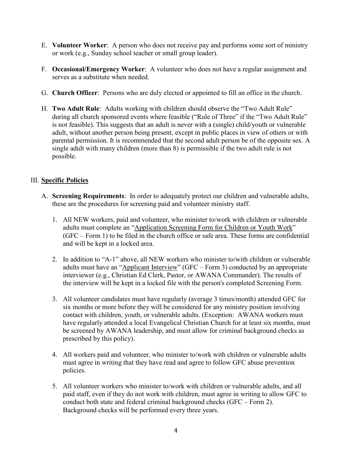- E. **Volunteer Worker**: A person who does not receive pay and performs some sort of ministry or work (e.g., Sunday school teacher or small group leader).
- F. **Occasional/Emergency Worker**: A volunteer who does not have a regular assignment and serves as a substitute when needed.
- G. **Church Officer**: Persons who are duly elected or appointed to fill an office in the church.
- H. **Two Adult Rule**: Adults working with children should observe the "Two Adult Rule" during all church sponsored events where feasible ("Rule of Three" if the "Two Adult Rule" is not feasible). This suggests that an adult is never with a (single) child/youth or vulnerable adult, without another person being present, except in public places in view of others or with parental permission. It is recommended that the second adult person be of the opposite sex. A single adult with many children (more than 8) is permissible if the two adult rule is not possible.

# III. **Specific Policies**

- A. **Screening Requirements**: In order to adequately protect our children and vulnerable adults, these are the procedures for screening paid and volunteer ministry staff.
	- 1. All NEW workers, paid and volunteer, who minister to/work with children or vulnerable adults must complete an "Application Screening Form for Children or Youth Work" (GFC – Form 1) to be filed in the church office or safe area. These forms are confidential and will be kept in a locked area.
	- 2. In addition to "A-1" above, all NEW workers who minister to/with children or vulnerable adults must have an "Applicant Interview" (GFC – Form 3) conducted by an appropriate interviewer (e.g., Christian Ed Clerk, Pastor, or AWANA Commander). The results of the interview will be kept in a locked file with the person's completed Screening Form.
	- 3. All volunteer candidates must have regularly (average 3 times/month) attended GFC for six months or more before they will be considered for any ministry position involving contact with children, youth, or vulnerable adults. (Exception: AWANA workers must have regularly attended a local Evangelical Christian Church for at least six months, must be screened by AWANA leadership, and must allow for criminal background checks as prescribed by this policy).
	- 4. All workers paid and volunteer, who minister to/work with children or vulnerable adults must agree in writing that they have read and agree to follow GFC abuse prevention policies.
	- 5. All volunteer workers who minister to/work with children or vulnerable adults, and all paid staff, even if they do not work with children, must agree in writing to allow GFC to conduct both state and federal criminal background checks (GFC – Form 2). Background checks will be performed every three years.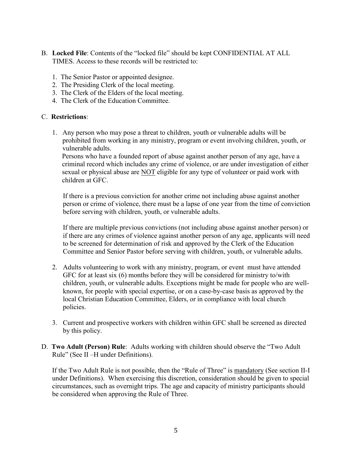- B. **Locked File**: Contents of the "locked file" should be kept CONFIDENTIAL AT ALL TIMES. Access to these records will be restricted to:
	- 1. The Senior Pastor or appointed designee.
	- 2. The Presiding Clerk of the local meeting.
	- 3. The Clerk of the Elders of the local meeting.
	- 4. The Clerk of the Education Committee.

#### C. **Restrictions**:

1. Any person who may pose a threat to children, youth or vulnerable adults will be prohibited from working in any ministry, program or event involving children, youth, or vulnerable adults.

Persons who have a founded report of abuse against another person of any age, have a criminal record which includes any crime of violence, or are under investigation of either sexual or physical abuse are NOT eligible for any type of volunteer or paid work with children at GFC.

If there is a previous conviction for another crime not including abuse against another person or crime of violence, there must be a lapse of one year from the time of conviction before serving with children, youth, or vulnerable adults.

If there are multiple previous convictions (not including abuse against another person) or if there are any crimes of violence against another person of any age, applicants will need to be screened for determination of risk and approved by the Clerk of the Education Committee and Senior Pastor before serving with children, youth, or vulnerable adults.

- 2. Adults volunteering to work with any ministry, program, or event must have attended GFC for at least six (6) months before they will be considered for ministry to/with children, youth, or vulnerable adults. Exceptions might be made for people who are wellknown, for people with special expertise, or on a case-by-case basis as approved by the local Christian Education Committee, Elders, or in compliance with local church policies.
- 3. Current and prospective workers with children within GFC shall be screened as directed by this policy.
- D. **Two Adult (Person) Rule**: Adults working with children should observe the "Two Adult Rule" (See II –H under Definitions).

If the Two Adult Rule is not possible, then the "Rule of Three" is mandatory (See section II-I under Definitions). When exercising this discretion, consideration should be given to special circumstances, such as overnight trips. The age and capacity of ministry participants should be considered when approving the Rule of Three.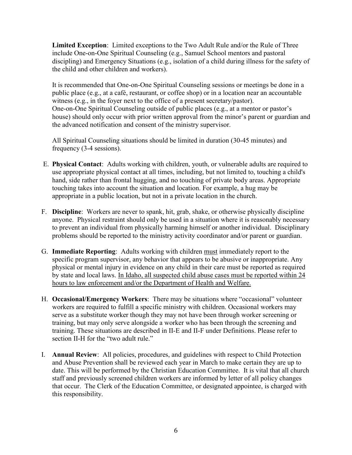**Limited Exception**: Limited exceptions to the Two Adult Rule and/or the Rule of Three include One-on-One Spiritual Counseling (e.g., Samuel School mentors and pastoral discipling) and Emergency Situations (e.g., isolation of a child during illness for the safety of the child and other children and workers).

It is recommended that One-on-One Spiritual Counseling sessions or meetings be done in a public place (e.g., at a café, restaurant, or coffee shop) or in a location near an accountable witness (e.g., in the foyer next to the office of a present secretary/pastor). One-on-One Spiritual Counseling outside of public places (e.g., at a mentor or pastor's house) should only occur with prior written approval from the minor's parent or guardian and the advanced notification and consent of the ministry supervisor.

All Spiritual Counseling situations should be limited in duration (30-45 minutes) and frequency (3-4 sessions).

- E. **Physical Contact**: Adults working with children, youth, or vulnerable adults are required to use appropriate physical contact at all times, including, but not limited to, touching a child's hand, side rather than frontal hugging, and no touching of private body areas. Appropriate touching takes into account the situation and location. For example, a hug may be appropriate in a public location, but not in a private location in the church.
- F. **Discipline**: Workers are never to spank, hit, grab, shake, or otherwise physically discipline anyone. Physical restraint should only be used in a situation where it is reasonably necessary to prevent an individual from physically harming himself or another individual. Disciplinary problems should be reported to the ministry activity coordinator and/or parent or guardian.
- G. **Immediate Reporting**: Adults working with children must immediately report to the specific program supervisor, any behavior that appears to be abusive or inappropriate. Any physical or mental injury in evidence on any child in their care must be reported as required by state and local laws. In Idaho, all suspected child abuse cases must be reported within 24 hours to law enforcement and/or the Department of Health and Welfare.
- H. **Occasional/Emergency Workers**: There may be situations where "occasional" volunteer workers are required to fulfill a specific ministry with children. Occasional workers may serve as a substitute worker though they may not have been through worker screening or training, but may only serve alongside a worker who has been through the screening and training. These situations are described in II-E and II-F under Definitions. Please refer to section II-H for the "two adult rule."
- I. **Annual Review**: All policies, procedures, and guidelines with respect to Child Protection and Abuse Prevention shall be reviewed each year in March to make certain they are up to date. This will be performed by the Christian Education Committee. It is vital that all church staff and previously screened children workers are informed by letter of all policy changes that occur. The Clerk of the Education Committee, or designated appointee, is charged with this responsibility.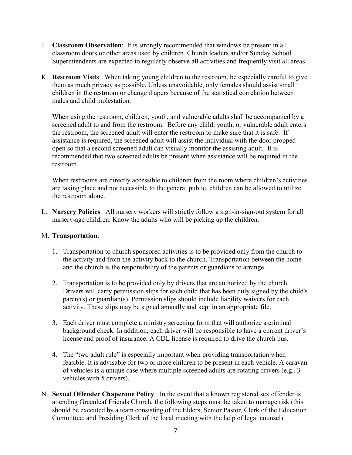- J. **Classroom Observation**: It is strongly recommended that windows be present in all classroom doors or other areas used by children. Church leaders and/or Sunday School Superintendents are expected to regularly observe all activities and frequently visit all areas.
- K. **Restroom Visits**: When taking young children to the restroom, be especially careful to give them as much privacy as possible. Unless unavoidable, only females should assist small children in the restroom or change diapers because of the statistical correlation between males and child molestation.

When using the restroom, children, youth, and vulnerable adults shall be accompanied by a screened adult to and from the restroom. Before any child, youth, or vulnerable adult enters the restroom, the screened adult will enter the restroom to make sure that it is safe. If assistance is required, the screened adult will assist the individual with the door propped open so that a second screened adult can visually monitor the assisting adult. It is recommended that two screened adults be present when assistance will be required in the restroom.

When restrooms are directly accessible to children from the room where children's activities are taking place and not accessible to the general public, children can be allowed to utilize the restroom alone.

L. **Nursery Policies**: All nursery workers will strictly follow a sign-in-sign-out system for all nursery-age children. Know the adults who will be picking up the children.

## M. **Transportation**:

- 1. Transportation to church sponsored activities is to be provided only from the church to the activity and from the activity back to the church. Transportation between the home and the church is the responsibility of the parents or guardians to arrange.
- 2. Transportation is to be provided only by drivers that are authorized by the church. Drivers will carry permission slips for each child that has been duly signed by the child's parent(s) or guardian(s). Permission slips should include liability waivers for each activity. These slips may be signed annually and kept in an appropriate file.
- 3. Each driver must complete a ministry screening form that will authorize a criminal background check. In addition, each driver will be responsible to have a current driver's license and proof of insurance. A CDL license is required to drive the church bus.
- 4. The "two adult rule" is especially important when providing transportation when feasible. It is advisable for two or more children to be present in each vehicle. A caravan of vehicles is a unique case where multiple screened adults are rotating drivers (e.g., 3 vehicles with 5 drivers).
- N. **Sexual Offender Chaperone Policy**: In the event that a known registered sex offender is attending Greenleaf Friends Church, the following steps must be taken to manage risk (this should be executed by a team consisting of the Elders, Senior Pastor, Clerk of the Education Committee, and Presiding Clerk of the local meeting with the help of legal counsel):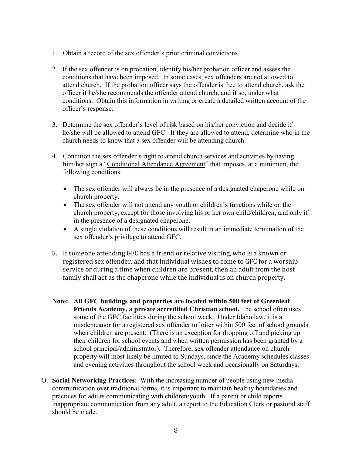- 1. Obtain a record of the sex offender's prior criminal convictions.
- 2. If the sex offender is on probation, identify his/her probation officer and assess the conditions that have been imposed. In some cases, sex offenders are not allowed to attend church. If the probation officer says the offender is free to attend church, ask the officer if he/she recommends the offender attend church, and if so, under what conditions. Obtain this information in writing or create a detailed written account of the officer's response.
- 3. Determine the sex offender's level of risk based on his/her conviction and decide if he/she will be allowed to attend GFC. If they are allowed to attend, determine who in the church needs to know that a sex offender will be attending church.
- 4. Condition the sex offender's right to attend church services and activities by having him/her sign a "Conditional Attendance Agreement" that imposes, at a minimum, the following conditions:
	- The sex offender will always be in the presence of a designated chaperone while on church property.
	- The sex offender will not attend any youth or children's functions while on the church property, except for those involving his or her own child/children, and only if in the presence of a designated chaperone.
	- A single violation of these conditions will result in an immediate termination of the sex offender's privilege to attend GFC.
- 5. If someone attending GFC has a friend or relative visiting, who is a known or registered sex offender, and that individual wishes to come to GFC for a worship service or during a time when children are present, then an adult from the host family shall act as the chaperone while the individual is on church property.
- **Note: All GFC buildings and properties are located within 500 feet of Greenleaf Friends Academy, a private accredited Christian school.** The school often uses some of the GFC facilities during the school week. Under Idaho law, it is a misdemeanor for a registered sex offender to loiter within 500 feet of school grounds when children are present. (There is an exception for dropping off and picking up their children for school events and when written permission has been granted by a school principal/administrator). Therefore, sex offender attendance on church property will most likely be limited to Sundays, since the Academy schedules classes and evening activities throughout the school week and occasionally on Saturdays.
- O. **Social Networking Practices**: With the increasing number of people using new media communication over traditional forms, it is important to maintain healthy boundaries and practices for adults communicating with children/youth. If a parent or child reports inappropriate communication from any adult, a report to the Education Clerk or pastoral staff should be made.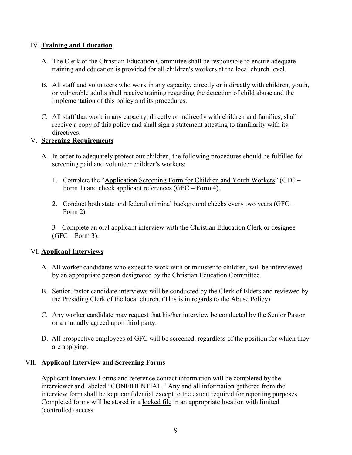## IV. **Training and Education**

- A. The Clerk of the Christian Education Committee shall be responsible to ensure adequate training and education is provided for all children's workers at the local church level.
- B. All staff and volunteers who work in any capacity, directly or indirectly with children, youth, or vulnerable adults shall receive training regarding the detection of child abuse and the implementation of this policy and its procedures.
- C. All staff that work in any capacity, directly or indirectly with children and families, shall receive a copy of this policy and shall sign a statement attesting to familiarity with its directives.

# V. **Screening Requirements**

- A. In order to adequately protect our children, the following procedures should be fulfilled for screening paid and volunteer children's workers:
	- 1. Complete the "Application Screening Form for Children and Youth Workers" (GFC Form 1) and check applicant references (GFC – Form 4).
	- 2. Conduct both state and federal criminal background checks every two years (GFC Form 2).

3 Complete an oral applicant interview with the Christian Education Clerk or designee  $(GFC - Form 3)$ .

## VI. **Applicant Interviews**

- A. All worker candidates who expect to work with or minister to children, will be interviewed by an appropriate person designated by the Christian Education Committee.
- B. Senior Pastor candidate interviews will be conducted by the Clerk of Elders and reviewed by the Presiding Clerk of the local church. (This is in regards to the Abuse Policy)
- C. Any worker candidate may request that his/her interview be conducted by the Senior Pastor or a mutually agreed upon third party.
- D. All prospective employees of GFC will be screened, regardless of the position for which they are applying.

# VII. **Applicant Interview and Screening Forms**

Applicant Interview Forms and reference contact information will be completed by the interviewer and labeled "CONFIDENTIAL." Any and all information gathered from the interview form shall be kept confidential except to the extent required for reporting purposes. Completed forms will be stored in a locked file in an appropriate location with limited (controlled) access.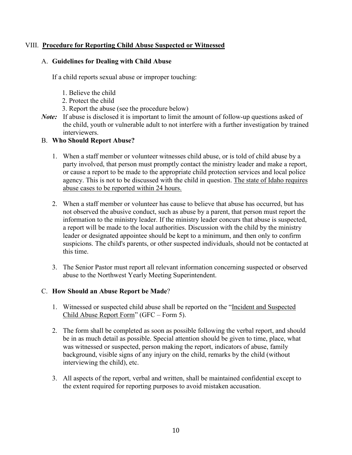## VIII. **Procedure for Reporting Child Abuse Suspected or Witnessed**

## A. **Guidelines for Dealing with Child Abuse**

If a child reports sexual abuse or improper touching:

- 1. Believe the child
- 2. Protect the child
- 3. Report the abuse (see the procedure below)
- *Note*: If abuse is disclosed it is important to limit the amount of follow-up questions asked of the child, youth or vulnerable adult to not interfere with a further investigation by trained interviewers.

# B. **Who Should Report Abuse?**

- 1. When a staff member or volunteer witnesses child abuse, or is told of child abuse by a party involved, that person must promptly contact the ministry leader and make a report, or cause a report to be made to the appropriate child protection services and local police agency. This is not to be discussed with the child in question. The state of Idaho requires abuse cases to be reported within 24 hours.
- 2. When a staff member or volunteer has cause to believe that abuse has occurred, but has not observed the abusive conduct, such as abuse by a parent, that person must report the information to the ministry leader. If the ministry leader concurs that abuse is suspected, a report will be made to the local authorities. Discussion with the child by the ministry leader or designated appointee should be kept to a minimum, and then only to confirm suspicions. The child's parents, or other suspected individuals, should not be contacted at this time.
- 3. The Senior Pastor must report all relevant information concerning suspected or observed abuse to the Northwest Yearly Meeting Superintendent.

# C. **How Should an Abuse Report be Made**?

- 1. Witnessed or suspected child abuse shall be reported on the "Incident and Suspected Child Abuse Report Form" (GFC – Form 5).
- 2. The form shall be completed as soon as possible following the verbal report, and should be in as much detail as possible. Special attention should be given to time, place, what was witnessed or suspected, person making the report, indicators of abuse, family background, visible signs of any injury on the child, remarks by the child (without interviewing the child), etc.
- 3. All aspects of the report, verbal and written, shall be maintained confidential except to the extent required for reporting purposes to avoid mistaken accusation.